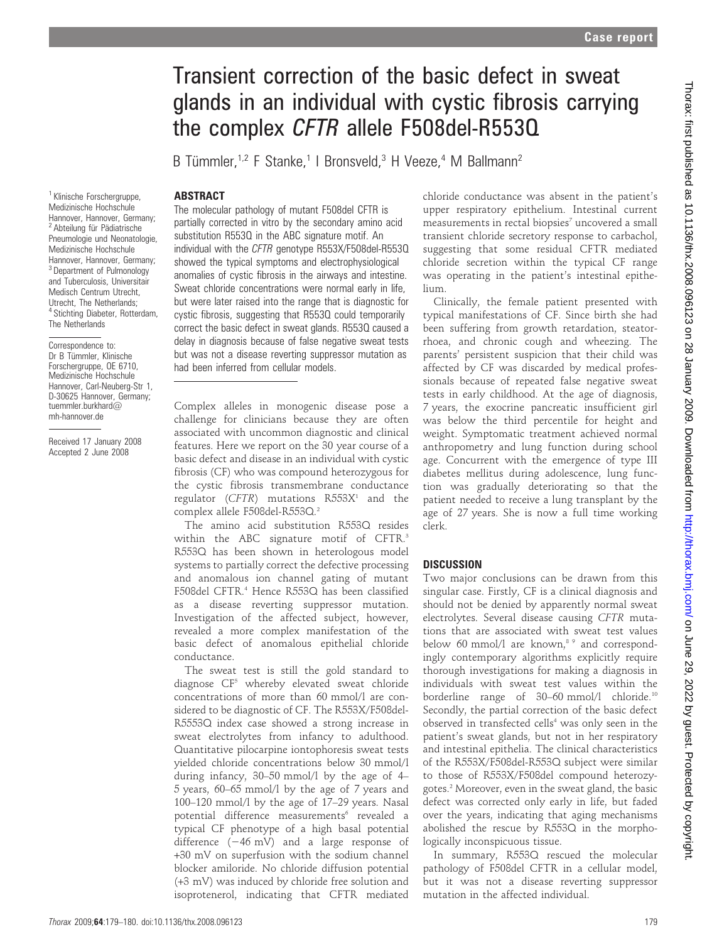# Transient correction of the basic defect in sweat glands in an individual with cystic fibrosis carrying the complex CFTR allele F508del-R553Q

B Tümmler,<sup>1,2</sup> F Stanke,<sup>1</sup> | Bronsveld,<sup>3</sup> H Veeze,<sup>4</sup> M Ballmann<sup>2</sup>

### ABSTRACT

<sup>1</sup> Klinische Forschergruppe, Medizinische Hochschule Hannover, Hannover, Germany; <sup>2</sup> Abteilung für Pädiatrische Pneumologie und Neonatologie. Medizinische Hochschule Hannover, Hannover, Germany; <sup>3</sup> Department of Pulmonology and Tuberculosis, Universitair Medisch Centrum Utrecht, Utrecht, The Netherlands; <sup>4</sup> Stichting Diabeter, Rotterdam, The Netherlands

Correspondence to: Dr B Tümmler, Klinische Forschergruppe, OE 6710, Medizinische Hochschule Hannover, Carl-Neuberg-Str 1, D-30625 Hannover, Germany; tuemmler.burkhard@ mh-hannover.de

Received 17 January 2008 Accepted 2 June 2008

The molecular pathology of mutant F508del CFTR is partially corrected in vitro by the secondary amino acid substitution R553Q in the ABC signature motif. An individual with the CFTR genotype R553X/F508del-R553Q showed the typical symptoms and electrophysiological anomalies of cystic fibrosis in the airways and intestine. Sweat chloride concentrations were normal early in life, but were later raised into the range that is diagnostic for cystic fibrosis, suggesting that R553Q could temporarily correct the basic defect in sweat glands. R553Q caused a delay in diagnosis because of false negative sweat tests but was not a disease reverting suppressor mutation as had been inferred from cellular models.

Complex alleles in monogenic disease pose a challenge for clinicians because they are often associated with uncommon diagnostic and clinical features. Here we report on the 30 year course of a basic defect and disease in an individual with cystic fibrosis (CF) who was compound heterozygous for the cystic fibrosis transmembrane conductance regulator (CFTR) mutations  $R553X<sup>1</sup>$  and the complex allele F508del-R553Q.<sup>2</sup>

The amino acid substitution R553Q resides within the ABC signature motif of CFTR.<sup>3</sup> R553Q has been shown in heterologous model systems to partially correct the defective processing and anomalous ion channel gating of mutant F508del CFTR.<sup>4</sup> Hence R553Q has been classified as a disease reverting suppressor mutation. Investigation of the affected subject, however, revealed a more complex manifestation of the basic defect of anomalous epithelial chloride conductance.

The sweat test is still the gold standard to diagnose  $CF<sup>5</sup>$  whereby elevated sweat chloride concentrations of more than 60 mmol/l are considered to be diagnostic of CF. The R553X/F508del-R5553Q index case showed a strong increase in sweat electrolytes from infancy to adulthood. Quantitative pilocarpine iontophoresis sweat tests yielded chloride concentrations below 30 mmol/l during infancy, 30–50 mmol/l by the age of 4– 5 years, 60–65 mmol/l by the age of 7 years and 100–120 mmol/l by the age of 17–29 years. Nasal potential difference measurements<sup>6</sup> revealed a typical CF phenotype of a high basal potential difference  $(-46 \text{ mV})$  and a large response of +30 mV on superfusion with the sodium channel blocker amiloride. No chloride diffusion potential (+3 mV) was induced by chloride free solution and isoprotenerol, indicating that CFTR mediated

chloride conductance was absent in the patient's upper respiratory epithelium. Intestinal current  $measured$  in rectal biopsies<sup>7</sup> uncovered a small transient chloride secretory response to carbachol, suggesting that some residual CFTR mediated chloride secretion within the typical CF range was operating in the patient's intestinal epithelium.

Clinically, the female patient presented with typical manifestations of CF. Since birth she had been suffering from growth retardation, steatorrhoea, and chronic cough and wheezing. The parents' persistent suspicion that their child was affected by CF was discarded by medical professionals because of repeated false negative sweat tests in early childhood. At the age of diagnosis, 7 years, the exocrine pancreatic insufficient girl was below the third percentile for height and weight. Symptomatic treatment achieved normal anthropometry and lung function during school age. Concurrent with the emergence of type III diabetes mellitus during adolescence, lung function was gradually deteriorating so that the patient needed to receive a lung transplant by the age of 27 years. She is now a full time working clerk.

### **DISCUSSION**

Two major conclusions can be drawn from this singular case. Firstly, CF is a clinical diagnosis and should not be denied by apparently normal sweat electrolytes. Several disease causing CFTR mutations that are associated with sweat test values below 60 mmol/l are known, $89$  and correspondingly contemporary algorithms explicitly require thorough investigations for making a diagnosis in individuals with sweat test values within the borderline range of 30–60 mmol/l chloride.10 Secondly, the partial correction of the basic defect observed in transfected cells<sup>4</sup> was only seen in the patient's sweat glands, but not in her respiratory and intestinal epithelia. The clinical characteristics of the R553X/F508del-R553Q subject were similar to those of R553X/F508del compound heterozygotes.2 Moreover, even in the sweat gland, the basic defect was corrected only early in life, but faded over the years, indicating that aging mechanisms abolished the rescue by R553Q in the morphologically inconspicuous tissue.

In summary, R553Q rescued the molecular pathology of F508del CFTR in a cellular model, but it was not a disease reverting suppressor mutation in the affected individual.